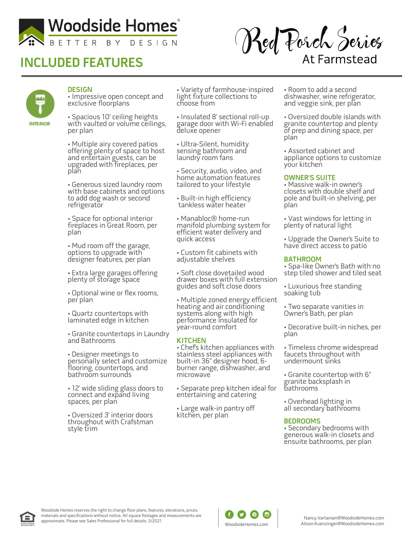

# **INCLUDED FEATURES**

Red Porch Series **At Farmstead** 



### **DESIGN**

• Impressive open concept and exclusive floorplans

• Spacious 10' ceiling heights with vaulted or volume ceilings, per plan

• Multiple airy covered patios offering plenty of space to host and entertain guests, can be upgraded with fireplaces, per plan

• Generous sized laundry room with base cabinets and options to add dog wash or second refrigerator

• Space for optional interior fireplaces in Great Room, per plan

• Mud room off the garage, options to upgrade with designer features, per plan

• Extra large garages offering plenty of storage space

• Optional wine or flex rooms, per plan

• Quartz countertops with laminated edge in kitchen

• Granite countertops in Laundry and Bathrooms

• Designer meetings to personally select and customize flooring, countertops, and bathroom surrounds

• 12' wide sliding glass doors to connect and expand living spaces, per plan

• Oversized 3' interior doors throughout with Crafstman style trim

• Variety of farmhouse-inspired light fixture collections to choose from

• Insulated 8' sectional roll-up garage door with Wi-Fi enabled deluxe opener

• Ultra-Silent, humidity sensing bathroom and laundry room fans

• Security, audio, video, and home automation features tailored to your lifestyle

• Built-in high efficiency tankless water heater

• Manabloc® home-run manifold plumbing system for efficient water delivery and quick access

• Custom fit cabinets with adjustable shelves

• Soft close dovetailed wood drawer boxes with full extension guides and soft close doors

• Multiple zoned energy efficient heating and air conditioning systems along with high performance insulated for year-round comfort

#### **KITCHEN**

• Chef's kitchen appliances with stainless steel appliances with built-in 36" designer hood, 6 burner range, dishwasher, and microwave

• Separate prep kitchen ideal for entertaining and catering

• Large walk-in pantry off kitchen, per plan

• Room to add a second dishwasher, wine refrigerator, and veggie sink, per plan

• Oversized double islands with granite countertop and plenty of prep and dining space, per plan

• Assorted cabinet and appliance options to customize your kitchen

#### **OWNER'S SUITE**

• Massive walk-in owner's closets with double shelf and pole and built-in shelving, per plan

• Vast windows for letting in plenty of natural light

• Upgrade the Owner's Suite to have direct access to patio

#### **BATHROOM**

• Spa-like Owner's Bath with no step tiled shower and tiled seat

• Luxurious free standing soaking tub

• Two separate vanities in Owner's Bath, per plan

• Decorative built-in niches, per plan

• Timeless chrome widespread faucets throughout with undermount sinks

• Granite countertop with 6" granite backsplash in bathrooms

• Overhead lighting in all secondary bathrooms

#### **BEDROOMS**

• Secondary bedrooms with generous walk-in closets and ensuite bathrooms, per plan